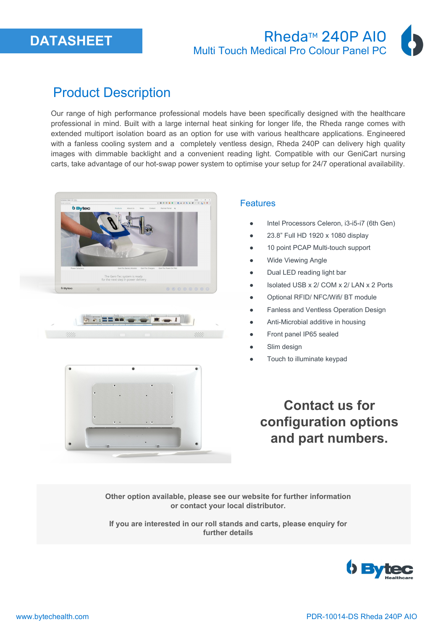

### **Rheda™ 240P AIO** Multi Touch Medical Pro Colour Panel PC

# Product Description

Our range of high performance professional models have been specifically designed with the healthcare professional in mind. Built with a large internal heat sinking for longer life, the Rheda range comes with extended multiport isolation board as an option for use with various healthcare applications. Engineered with a fanless cooling system and a completely ventless design, Rheda 240P can delivery high quality images with dimmable backlight and a convenient reading light. Compatible with our GeniCart nursing carts, take advantage of our hot-swap power system to optimise your setup for 24/7 operational availability.







#### **Features**

- Intel Processors Celeron, i3-i5-i7 (6th Gen)
- 23.8" Full HD 1920 x 1080 display
- 10 point PCAP Multi-touch support
- **Wide Viewing Angle**
- Dual LED reading light bar
- Isolated USB x 2/ COM x 2/ LAN x 2 Ports
- Optional RFID/ NFC/Wifi/ BT module
- Fanless and Ventless Operation Design
- Anti-Microbial additive in housing
- Front panel IP65 sealed
- Slim design
- Touch to illuminate keypad

**Contact us for configuration options and part numbers.**

**Other option available, please see our website for further information or contact your local distributor.** 

**If you are interested in our roll stands and carts, please enquiry for further details**

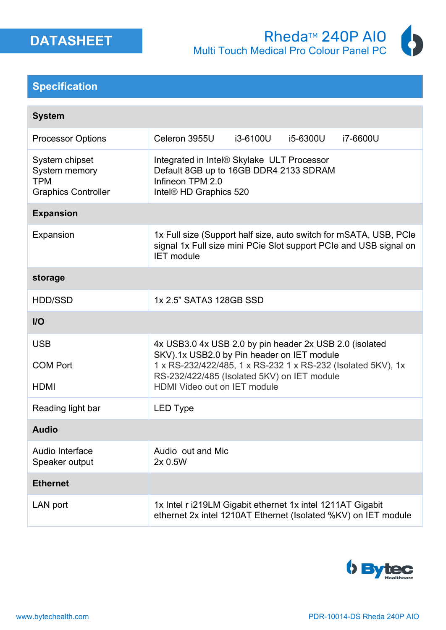

#### **Specification**

| <b>System</b>                                                               |                                                                                                                                                                                                                                                      |          |          |                                                                                                                                        |
|-----------------------------------------------------------------------------|------------------------------------------------------------------------------------------------------------------------------------------------------------------------------------------------------------------------------------------------------|----------|----------|----------------------------------------------------------------------------------------------------------------------------------------|
| <b>Processor Options</b>                                                    | Celeron 3955U                                                                                                                                                                                                                                        | i3-6100U | i5-6300U | i7-6600U                                                                                                                               |
| System chipset<br>System memory<br><b>TPM</b><br><b>Graphics Controller</b> | Integrated in Intel® Skylake ULT Processor<br>Default 8GB up to 16GB DDR4 2133 SDRAM<br>Infineon TPM 2.0<br>Intel® HD Graphics 520                                                                                                                   |          |          |                                                                                                                                        |
| <b>Expansion</b>                                                            |                                                                                                                                                                                                                                                      |          |          |                                                                                                                                        |
| Expansion                                                                   | <b>IET</b> module                                                                                                                                                                                                                                    |          |          | 1x Full size (Support half size, auto switch for mSATA, USB, PCIe<br>signal 1x Full size mini PCie Slot support PCIe and USB signal on |
| storage                                                                     |                                                                                                                                                                                                                                                      |          |          |                                                                                                                                        |
| <b>HDD/SSD</b>                                                              | 1x 2.5" SATA3 128GB SSD                                                                                                                                                                                                                              |          |          |                                                                                                                                        |
| $II$                                                                        |                                                                                                                                                                                                                                                      |          |          |                                                                                                                                        |
| <b>USB</b><br><b>COM Port</b><br><b>HDMI</b>                                | 4x USB3.0 4x USB 2.0 by pin header 2x USB 2.0 (isolated<br>SKV).1x USB2.0 by Pin header on IET module<br>1 x RS-232/422/485, 1 x RS-232 1 x RS-232 (Isolated 5KV), 1x<br>RS-232/422/485 (Isolated 5KV) on IET module<br>HDMI Video out on IET module |          |          |                                                                                                                                        |
| Reading light bar                                                           | <b>LED Type</b>                                                                                                                                                                                                                                      |          |          |                                                                                                                                        |
| <b>Audio</b>                                                                |                                                                                                                                                                                                                                                      |          |          |                                                                                                                                        |
| Audio Interface<br>Speaker output                                           | Audio out and Mic<br>2x 0.5W                                                                                                                                                                                                                         |          |          |                                                                                                                                        |
| <b>Ethernet</b>                                                             |                                                                                                                                                                                                                                                      |          |          |                                                                                                                                        |
| LAN port                                                                    | 1x Intel r i219LM Gigabit ethernet 1x intel 1211AT Gigabit<br>ethernet 2x intel 1210AT Ethernet (Isolated %KV) on IET module                                                                                                                         |          |          |                                                                                                                                        |

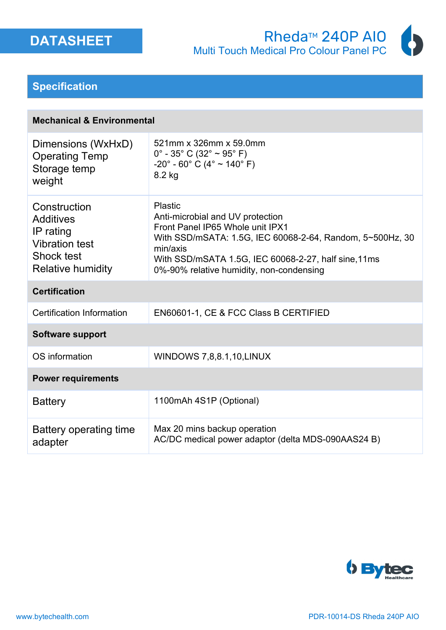





#### **Specification**

| <b>Mechanical &amp; Environmental</b> |  |  |
|---------------------------------------|--|--|
|---------------------------------------|--|--|

| Dimensions (WxHxD)<br><b>Operating Temp</b><br>Storage temp<br>weight                                            | 521mm x 326mm x 59.0mm<br>$0^{\circ}$ - 35° C (32° ~ 95° F)<br>$-20^{\circ}$ - 60° C (4° ~ 140° F)<br>8.2 kg                                                                                                                                                        |
|------------------------------------------------------------------------------------------------------------------|---------------------------------------------------------------------------------------------------------------------------------------------------------------------------------------------------------------------------------------------------------------------|
| Construction<br><b>Additives</b><br>IP rating<br><b>Vibration test</b><br>Shock test<br><b>Relative humidity</b> | <b>Plastic</b><br>Anti-microbial and UV protection<br>Front Panel IP65 Whole unit IPX1<br>With SSD/mSATA: 1.5G, IEC 60068-2-64, Random, 5~500Hz, 30<br>min/axis<br>With SSD/mSATA 1.5G, IEC 60068-2-27, half sine, 11ms<br>0%-90% relative humidity, non-condensing |
| <b>Certification</b>                                                                                             |                                                                                                                                                                                                                                                                     |
| Certification Information                                                                                        | EN60601-1, CE & FCC Class B CERTIFIED                                                                                                                                                                                                                               |
| <b>Software support</b>                                                                                          |                                                                                                                                                                                                                                                                     |
| OS information                                                                                                   | <b>WINDOWS 7,8,8.1,10, LINUX</b>                                                                                                                                                                                                                                    |
| <b>Power requirements</b>                                                                                        |                                                                                                                                                                                                                                                                     |
| <b>Battery</b>                                                                                                   | 1100mAh 4S1P (Optional)                                                                                                                                                                                                                                             |
| Battery operating time<br>adapter                                                                                | Max 20 mins backup operation<br>AC/DC medical power adaptor (delta MDS-090AAS24 B)                                                                                                                                                                                  |